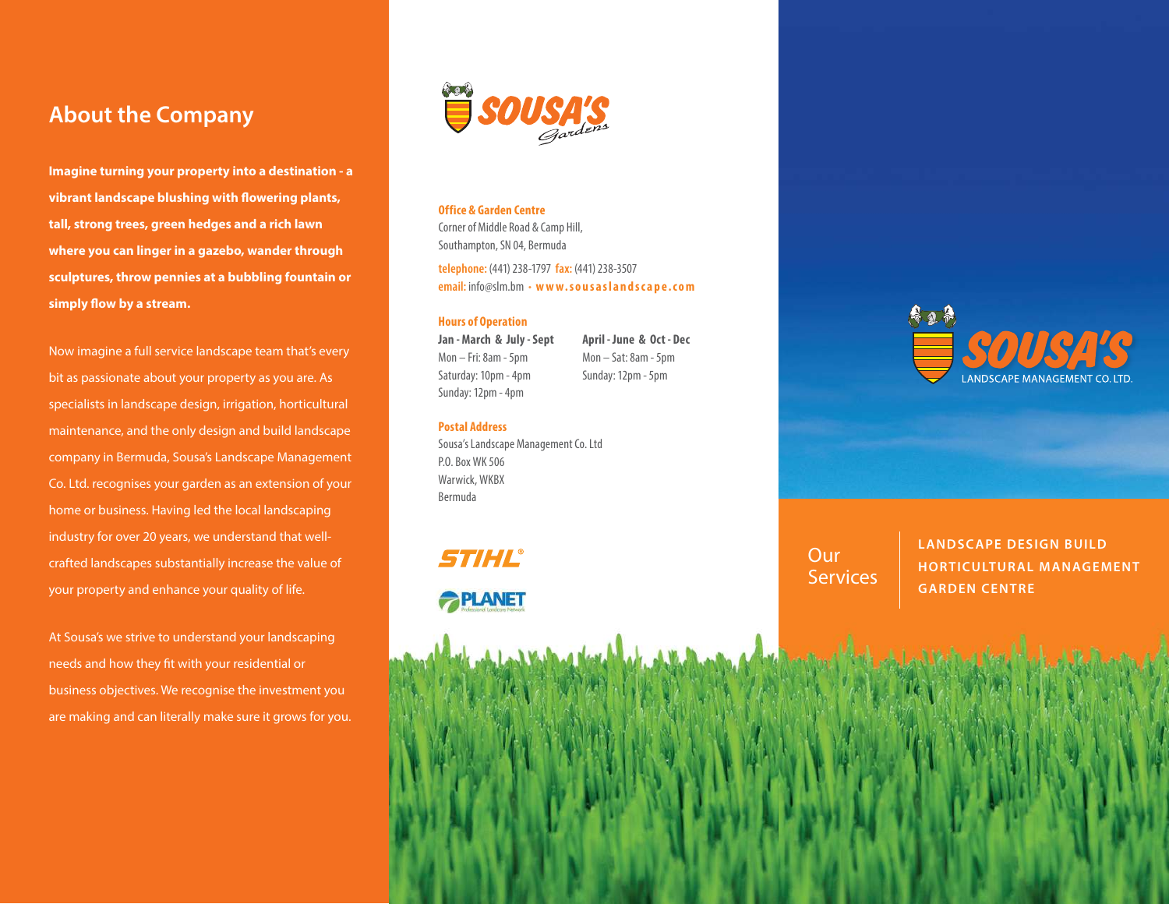# **About the Company**

**Imagine turning your property into a destination - a vibrant landscape blushing with flowering plants, tall, strong trees, green hedges and a rich lawn where you can linger in a gazebo, wander through sculptures, throw pennies at a bubbling fountain or simply flow by a stream.**

Now imagine a full service landscape team that's every bit as passionate about your property as you are. As specialists in landscape design, irrigation, horticultural maintenance, and the only design and build landscape company in Bermuda, Sousa's Landscape Management Co. Ltd. recognises your garden as an extension of your home or business. Having led the local landscaping industry for over 20 years, we understand that wellcrafted landscapes substantially increase the value of your property and enhance your quality of life.

At Sousa's we strive to understand your landscaping needs and how they fit with your residential or business objectives. We recognise the investment you are making and can literally make sure it grows for you.



### **Office & Garden Centre**

Corner of Middle Road & Camp Hill, Southampton, SN 04, Bermuda

**telephone:** (441) 238-1797 **fax:** (441) 238-3507 **email:** info@slm.bm • **w w w. s o u s a s l a n d s c a p e . c o m** 

> **April - June & Oct - Dec** Mon – Sat: 8am - 5pm Sunday: 12pm - 5pm

#### **Hours of Operation**

**Jan - March & July - Sept** Mon – Fri: 8am - 5pm Saturday: 10pm - 4pm Sunday: 12pm - 4pm

**Postal Address**

Sousa's Landscape Management Co. Ltd P.O. Box WK 506 Warwick, WKBX Bermuda

# STIHL®





**Our Services**  **LANDSCAPE DESIGN BUILD HORTICULTUR AL MANAGEMENT GARDEN CENTRE**